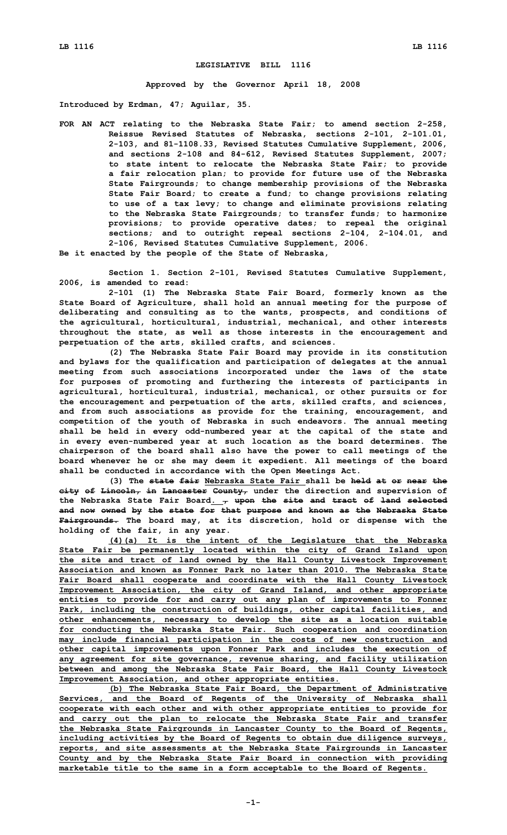## **LEGISLATIVE BILL 1116**

**Approved by the Governor April 18, 2008**

**Introduced by Erdman, 47; Aguilar, 35.**

**FOR AN ACT relating to the Nebraska State Fair; to amend section 2-258, Reissue Revised Statutes of Nebraska, sections 2-101, 2-101.01, 2-103, and 81-1108.33, Revised Statutes Cumulative Supplement, 2006, and sections 2-108 and 84-612, Revised Statutes Supplement, 2007; to state intent to relocate the Nebraska State Fair; to provide <sup>a</sup> fair relocation plan; to provide for future use of the Nebraska State Fairgrounds; to change membership provisions of the Nebraska State Fair Board; to create <sup>a</sup> fund; to change provisions relating to use of <sup>a</sup> tax levy; to change and eliminate provisions relating to the Nebraska State Fairgrounds; to transfer funds; to harmonize provisions; to provide operative dates; to repeal the original sections; and to outright repeal sections 2-104, 2-104.01, and 2-106, Revised Statutes Cumulative Supplement, 2006.**

**Be it enacted by the people of the State of Nebraska,**

**Section 1. Section 2-101, Revised Statutes Cumulative Supplement, 2006, is amended to read:**

**2-101 (1) The Nebraska State Fair Board, formerly known as the State Board of Agriculture, shall hold an annual meeting for the purpose of deliberating and consulting as to the wants, prospects, and conditions of the agricultural, horticultural, industrial, mechanical, and other interests throughout the state, as well as those interests in the encouragement and perpetuation of the arts, skilled crafts, and sciences.**

**(2) The Nebraska State Fair Board may provide in its constitution and bylaws for the qualification and participation of delegates at the annual meeting from such associations incorporated under the laws of the state for purposes of promoting and furthering the interests of participants in agricultural, horticultural, industrial, mechanical, or other pursuits or for the encouragement and perpetuation of the arts, skilled crafts, and sciences, and from such associations as provide for the training, encouragement, and competition of the youth of Nebraska in such endeavors. The annual meeting shall be held in every odd-numbered year at the capital of the state and in every even-numbered year at such location as the board determines. The chairperson of the board shall also have the power to call meetings of the board whenever he or she may deem it expedient. All meetings of the board shall be conducted in accordance with the Open Meetings Act.**

**(3) The state fair Nebraska State Fair shall be held at or near the city of Lincoln, in Lancaster County, under the direction and supervision of the Nebraska State Fair Board. , upon the site and tract of land selected and now owned by the state for that purpose and known as the Nebraska State Fairgrounds. The board may, at its discretion, hold or dispense with the holding of the fair, in any year.**

**(4)(a) It is the intent of the Legislature that the Nebraska State Fair be permanently located within the city of Grand Island upon the site and tract of land owned by the Hall County Livestock Improvement Association and known as Fonner Park no later than 2010. The Nebraska State Fair Board shall cooperate and coordinate with the Hall County Livestock Improvement Association, the city of Grand Island, and other appropriate entities to provide for and carry out any plan of improvements to Fonner Park, including the construction of buildings, other capital facilities, and other enhancements, necessary to develop the site as <sup>a</sup> location suitable for conducting the Nebraska State Fair. Such cooperation and coordination may include financial participation in the costs of new construction and other capital improvements upon Fonner Park and includes the execution of any agreement for site governance, revenue sharing, and facility utilization between and among the Nebraska State Fair Board, the Hall County Livestock Improvement Association, and other appropriate entities.**

**(b) The Nebraska State Fair Board, the Department of Administrative Services, and the Board of Regents of the University of Nebraska shall cooperate with each other and with other appropriate entities to provide for and carry out the plan to relocate the Nebraska State Fair and transfer the Nebraska State Fairgrounds in Lancaster County to the Board of Regents, including activities by the Board of Regents to obtain due diligence surveys, reports, and site assessments at the Nebraska State Fairgrounds in Lancaster County and by the Nebraska State Fair Board in connection with providing marketable title to the same in <sup>a</sup> form acceptable to the Board of Regents.**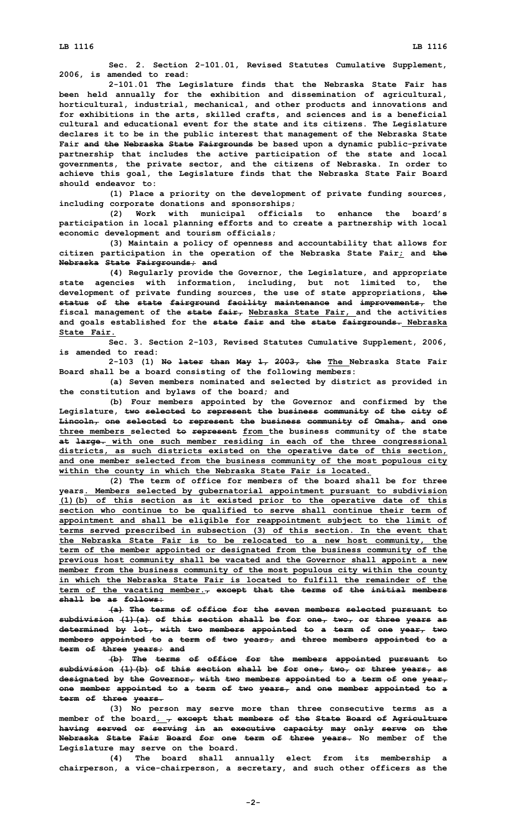**Sec. 2. Section 2-101.01, Revised Statutes Cumulative Supplement, 2006, is amended to read:**

**2-101.01 The Legislature finds that the Nebraska State Fair has been held annually for the exhibition and dissemination of agricultural, horticultural, industrial, mechanical, and other products and innovations and for exhibitions in the arts, skilled crafts, and sciences and is <sup>a</sup> beneficial cultural and educational event for the state and its citizens. The Legislature declares it to be in the public interest that management of the Nebraska State Fair and the Nebraska State Fairgrounds be based upon <sup>a</sup> dynamic public-private partnership that includes the active participation of the state and local governments, the private sector, and the citizens of Nebraska. In order to achieve this goal, the Legislature finds that the Nebraska State Fair Board should endeavor to:**

**(1) Place <sup>a</sup> priority on the development of private funding sources, including corporate donations and sponsorships;**

**(2) Work with municipal officials to enhance the board's participation in local planning efforts and to create <sup>a</sup> partnership with local economic development and tourism officials;**

**(3) Maintain <sup>a</sup> policy of openness and accountability that allows for citizen participation in the operation of the Nebraska State Fair; and the Nebraska State Fairgrounds; and**

**(4) Regularly provide the Governor, the Legislature, and appropriate state agencies with information, including, but not limited to, the development of private funding sources, the use of state appropriations, the status of the state fairground facility maintenance and improvements, the fiscal management of the state fair, Nebraska State Fair, and the activities and goals established for the state fair and the state fairgrounds. Nebraska State Fair.**

**Sec. 3. Section 2-103, Revised Statutes Cumulative Supplement, 2006, is amended to read:**

**2-103 (1) No later than May 1, 2003, the The Nebraska State Fair Board shall be <sup>a</sup> board consisting of the following members:**

**(a) Seven members nominated and selected by district as provided in the constitution and bylaws of the board; and**

**(b) Four members appointed by the Governor and confirmed by the Legislature, two selected to represent the business community of the city of Lincoln, one selected to represent the business community of Omaha, and one three members selected to represent from the business community of the state at large. with one such member residing in each of the three congressional districts, as such districts existed on the operative date of this section, and one member selected from the business community of the most populous city within the county in which the Nebraska State Fair is located.**

**(2) The term of office for members of the board shall be for three years. Members selected by gubernatorial appointment pursuant to subdivision (1)(b) of this section as it existed prior to the operative date of this section who continue to be qualified to serve shall continue their term of appointment and shall be eligible for reappointment subject to the limit of terms served prescribed in subsection (3) of this section. In the event that the Nebraska State Fair is to be relocated to <sup>a</sup> new host community, the term of the member appointed or designated from the business community of the previous host community shall be vacated and the Governor shall appoint <sup>a</sup> new member from the business community of the most populous city within the county in which the Nebraska State Fair is located to fulfill the remainder of the term of the vacating member., except that the terms of the initial members shall be as follows:**

**(a) The terms of office for the seven members selected pursuant to subdivision (1)(a) of this section shall be for one, two, or three years as determined by lot, with two members appointed to <sup>a</sup> term of one year, two members appointed to <sup>a</sup> term of two years, and three members appointed to <sup>a</sup> term of three years; and**

**(b) The terms of office for the members appointed pursuant to subdivision (1)(b) of this section shall be for one, two, or three years, as designated by the Governor, with two members appointed to <sup>a</sup> term of one year, one member appointed to <sup>a</sup> term of two years, and one member appointed to <sup>a</sup> term of three years.**

**(3) No person may serve more than three consecutive terms as <sup>a</sup> member of the board. , except that members of the State Board of Agriculture having served or serving in an executive capacity may only serve on the Nebraska State Fair Board for one term of three years. No member of the Legislature may serve on the board.**

**(4) The board shall annually elect from its membership <sup>a</sup> chairperson, <sup>a</sup> vice-chairperson, <sup>a</sup> secretary, and such other officers as the**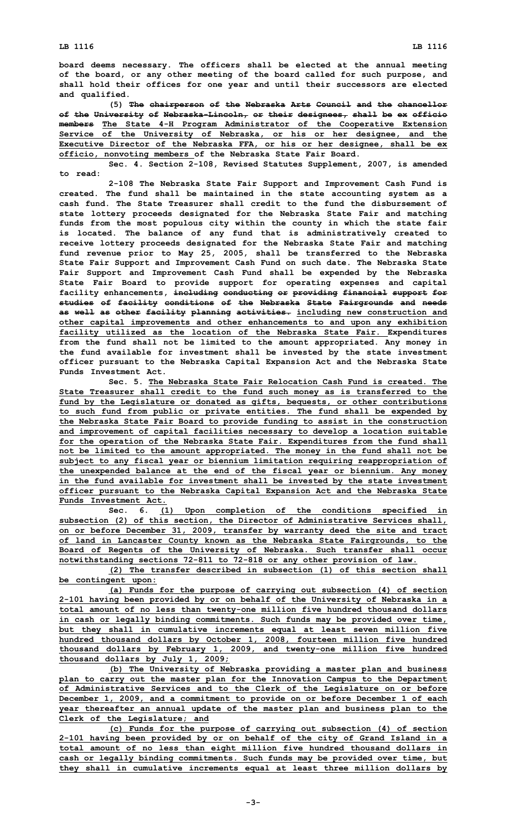**board deems necessary. The officers shall be elected at the annual meeting of the board, or any other meeting of the board called for such purpose, and shall hold their offices for one year and until their successors are elected and qualified.**

**(5) The chairperson of the Nebraska Arts Council and the chancellor of the University of Nebraska-Lincoln, or their designees, shall be ex officio members The State 4-H Program Administrator of the Cooperative Extension Service of the University of Nebraska, or his or her designee, and the Executive Director of the Nebraska FFA, or his or her designee, shall be ex officio, nonvoting members of the Nebraska State Fair Board.**

**Sec. 4. Section 2-108, Revised Statutes Supplement, 2007, is amended to read:**

**2-108 The Nebraska State Fair Support and Improvement Cash Fund is created. The fund shall be maintained in the state accounting system as <sup>a</sup> cash fund. The State Treasurer shall credit to the fund the disbursement of state lottery proceeds designated for the Nebraska State Fair and matching funds from the most populous city within the county in which the state fair is located. The balance of any fund that is administratively created to receive lottery proceeds designated for the Nebraska State Fair and matching fund revenue prior to May 25, 2005, shall be transferred to the Nebraska State Fair Support and Improvement Cash Fund on such date. The Nebraska State Fair Support and Improvement Cash Fund shall be expended by the Nebraska State Fair Board to provide support for operating expenses and capital facility enhancements, including conducting or providing financial support for studies of facility conditions of the Nebraska State Fairgrounds and needs as well as other facility planning activities. including new construction and other capital improvements and other enhancements to and upon any exhibition facility utilized as the location of the Nebraska State Fair. Expenditures from the fund shall not be limited to the amount appropriated. Any money in the fund available for investment shall be invested by the state investment officer pursuant to the Nebraska Capital Expansion Act and the Nebraska State Funds Investment Act.**

**Sec. 5. The Nebraska State Fair Relocation Cash Fund is created. The State Treasurer shall credit to the fund such money as is transferred to the fund by the Legislature or donated as gifts, bequests, or other contributions to such fund from public or private entities. The fund shall be expended by the Nebraska State Fair Board to provide funding to assist in the construction and improvement of capital facilities necessary to develop <sup>a</sup> location suitable for the operation of the Nebraska State Fair. Expenditures from the fund shall not be limited to the amount appropriated. The money in the fund shall not be subject to any fiscal year or biennium limitation requiring reappropriation of the unexpended balance at the end of the fiscal year or biennium. Any money in the fund available for investment shall be invested by the state investment officer pursuant to the Nebraska Capital Expansion Act and the Nebraska State Funds Investment Act.**

**Sec. 6. (1) Upon completion of the conditions specified in subsection (2) of this section, the Director of Administrative Services shall, on or before December 31, 2009, transfer by warranty deed the site and tract of land in Lancaster County known as the Nebraska State Fairgrounds, to the Board of Regents of the University of Nebraska. Such transfer shall occur notwithstanding sections 72-811 to 72-818 or any other provision of law.**

**(2) The transfer described in subsection (1) of this section shall be contingent upon:**

**(a) Funds for the purpose of carrying out subsection (4) of section 2-101 having been provided by or on behalf of the University of Nebraska in <sup>a</sup> total amount of no less than twenty-one million five hundred thousand dollars in cash or legally binding commitments. Such funds may be provided over time, but they shall in cumulative increments equal at least seven million five hundred thousand dollars by October 1, 2008, fourteen million five hundred thousand dollars by February 1, 2009, and twenty-one million five hundred thousand dollars by July 1, 2009;**

**(b) The University of Nebraska providing <sup>a</sup> master plan and business plan to carry out the master plan for the Innovation Campus to the Department of Administrative Services and to the Clerk of the Legislature on or before December 1, 2009, and <sup>a</sup> commitment to provide on or before December 1 of each year thereafter an annual update of the master plan and business plan to the Clerk of the Legislature; and**

**(c) Funds for the purpose of carrying out subsection (4) of section 2-101 having been provided by or on behalf of the city of Grand Island in <sup>a</sup> total amount of no less than eight million five hundred thousand dollars in cash or legally binding commitments. Such funds may be provided over time, but they shall in cumulative increments equal at least three million dollars by**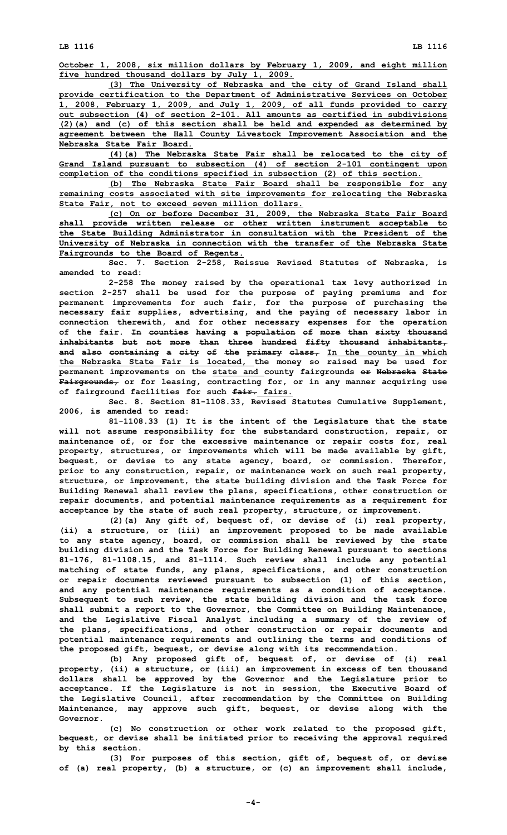**October 1, 2008, six million dollars by February 1, 2009, and eight million five hundred thousand dollars by July 1, 2009.**

**(3) The University of Nebraska and the city of Grand Island shall provide certification to the Department of Administrative Services on October 1, 2008, February 1, 2009, and July 1, 2009, of all funds provided to carry out subsection (4) of section 2-101. All amounts as certified in subdivisions (2)(a) and (c) of this section shall be held and expended as determined by agreement between the Hall County Livestock Improvement Association and the Nebraska State Fair Board.**

**(4)(a) The Nebraska State Fair shall be relocated to the city of Grand Island pursuant to subsection (4) of section 2-101 contingent upon completion of the conditions specified in subsection (2) of this section.**

**(b) The Nebraska State Fair Board shall be responsible for any remaining costs associated with site improvements for relocating the Nebraska State Fair, not to exceed seven million dollars.**

**(c) On or before December 31, 2009, the Nebraska State Fair Board shall provide written release or other written instrument acceptable to the State Building Administrator in consultation with the President of the University of Nebraska in connection with the transfer of the Nebraska State Fairgrounds to the Board of Regents.**

**Sec. 7. Section 2-258, Reissue Revised Statutes of Nebraska, is amended to read:**

**2-258 The money raised by the operational tax levy authorized in section 2-257 shall be used for the purpose of paying premiums and for permanent improvements for such fair, for the purpose of purchasing the necessary fair supplies, advertising, and the paying of necessary labor in connection therewith, and for other necessary expenses for the operation of the fair. In counties having <sup>a</sup> population of more than sixty thousand inhabitants but not more than three hundred fifty thousand inhabitants, and also containing <sup>a</sup> city of the primary class, In the county in which the Nebraska State Fair is located, the money so raised may be used for permanent improvements on the state and county fairgrounds or Nebraska State Fairgrounds, or for leasing, contracting for, or in any manner acquiring use of fairground facilities for such fair. fairs.**

**Sec. 8. Section 81-1108.33, Revised Statutes Cumulative Supplement, 2006, is amended to read:**

**81-1108.33 (1) It is the intent of the Legislature that the state will not assume responsibility for the substandard construction, repair, or maintenance of, or for the excessive maintenance or repair costs for, real property, structures, or improvements which will be made available by gift, bequest, or devise to any state agency, board, or commission. Therefor, prior to any construction, repair, or maintenance work on such real property, structure, or improvement, the state building division and the Task Force for Building Renewal shall review the plans, specifications, other construction or repair documents, and potential maintenance requirements as <sup>a</sup> requirement for acceptance by the state of such real property, structure, or improvement.**

**(2)(a) Any gift of, bequest of, or devise of (i) real property, (ii) <sup>a</sup> structure, or (iii) an improvement proposed to be made available to any state agency, board, or commission shall be reviewed by the state building division and the Task Force for Building Renewal pursuant to sections 81-176, 81-1108.15, and 81-1114. Such review shall include any potential matching of state funds, any plans, specifications, and other construction or repair documents reviewed pursuant to subsection (1) of this section, and any potential maintenance requirements as <sup>a</sup> condition of acceptance. Subsequent to such review, the state building division and the task force shall submit <sup>a</sup> report to the Governor, the Committee on Building Maintenance, and the Legislative Fiscal Analyst including <sup>a</sup> summary of the review of the plans, specifications, and other construction or repair documents and potential maintenance requirements and outlining the terms and conditions of the proposed gift, bequest, or devise along with its recommendation.**

**(b) Any proposed gift of, bequest of, or devise of (i) real property, (ii) <sup>a</sup> structure, or (iii) an improvement in excess of ten thousand dollars shall be approved by the Governor and the Legislature prior to acceptance. If the Legislature is not in session, the Executive Board of the Legislative Council, after recommendation by the Committee on Building Maintenance, may approve such gift, bequest, or devise along with the Governor.**

**(c) No construction or other work related to the proposed gift, bequest, or devise shall be initiated prior to receiving the approval required by this section.**

**(3) For purposes of this section, gift of, bequest of, or devise of (a) real property, (b) <sup>a</sup> structure, or (c) an improvement shall include,**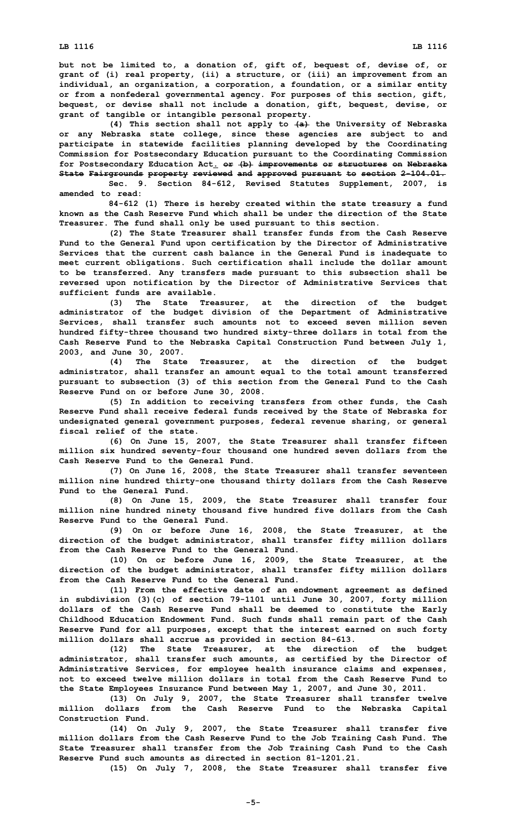**but not be limited to, <sup>a</sup> donation of, gift of, bequest of, devise of, or grant of (i) real property, (ii) <sup>a</sup> structure, or (iii) an improvement from an individual, an organization, <sup>a</sup> corporation, <sup>a</sup> foundation, or <sup>a</sup> similar entity or from <sup>a</sup> nonfederal governmental agency. For purposes of this section, gift, bequest, or devise shall not include <sup>a</sup> donation, gift, bequest, devise, or grant of tangible or intangible personal property.**

**(4) This section shall not apply to (a) the University of Nebraska or any Nebraska state college, since these agencies are subject to and participate in statewide facilities planning developed by the Coordinating Commission for Postsecondary Education pursuant to the Coordinating Commission for Postsecondary Education Act. or (b) improvements or structures on Nebraska State Fairgrounds property reviewed and approved pursuant to section 2-104.01.**

**Sec. 9. Section 84-612, Revised Statutes Supplement, 2007, is amended to read:**

**84-612 (1) There is hereby created within the state treasury <sup>a</sup> fund known as the Cash Reserve Fund which shall be under the direction of the State Treasurer. The fund shall only be used pursuant to this section.**

**(2) The State Treasurer shall transfer funds from the Cash Reserve Fund to the General Fund upon certification by the Director of Administrative Services that the current cash balance in the General Fund is inadequate to meet current obligations. Such certification shall include the dollar amount to be transferred. Any transfers made pursuant to this subsection shall be reversed upon notification by the Director of Administrative Services that sufficient funds are available.**

**(3) The State Treasurer, at the direction of the budget administrator of the budget division of the Department of Administrative Services, shall transfer such amounts not to exceed seven million seven hundred fifty-three thousand two hundred sixty-three dollars in total from the Cash Reserve Fund to the Nebraska Capital Construction Fund between July 1, 2003, and June 30, 2007.**

**(4) The State Treasurer, at the direction of the budget administrator, shall transfer an amount equal to the total amount transferred pursuant to subsection (3) of this section from the General Fund to the Cash Reserve Fund on or before June 30, 2008.**

**(5) In addition to receiving transfers from other funds, the Cash Reserve Fund shall receive federal funds received by the State of Nebraska for undesignated general government purposes, federal revenue sharing, or general fiscal relief of the state.**

**(6) On June 15, 2007, the State Treasurer shall transfer fifteen million six hundred seventy-four thousand one hundred seven dollars from the Cash Reserve Fund to the General Fund.**

**(7) On June 16, 2008, the State Treasurer shall transfer seventeen million nine hundred thirty-one thousand thirty dollars from the Cash Reserve Fund to the General Fund.**

**(8) On June 15, 2009, the State Treasurer shall transfer four million nine hundred ninety thousand five hundred five dollars from the Cash Reserve Fund to the General Fund.**

**(9) On or before June 16, 2008, the State Treasurer, at the direction of the budget administrator, shall transfer fifty million dollars from the Cash Reserve Fund to the General Fund.**

**(10) On or before June 16, 2009, the State Treasurer, at the direction of the budget administrator, shall transfer fifty million dollars from the Cash Reserve Fund to the General Fund.**

**(11) From the effective date of an endowment agreement as defined in subdivision (3)(c) of section 79-1101 until June 30, 2007, forty million dollars of the Cash Reserve Fund shall be deemed to constitute the Early Childhood Education Endowment Fund. Such funds shall remain part of the Cash Reserve Fund for all purposes, except that the interest earned on such forty million dollars shall accrue as provided in section 84-613.**

**(12) The State Treasurer, at the direction of the budget administrator, shall transfer such amounts, as certified by the Director of Administrative Services, for employee health insurance claims and expenses, not to exceed twelve million dollars in total from the Cash Reserve Fund to the State Employees Insurance Fund between May 1, 2007, and June 30, 2011.**

**(13) On July 9, 2007, the State Treasurer shall transfer twelve million dollars from the Cash Reserve Fund to the Nebraska Capital Construction Fund.**

**(14) On July 9, 2007, the State Treasurer shall transfer five million dollars from the Cash Reserve Fund to the Job Training Cash Fund. The State Treasurer shall transfer from the Job Training Cash Fund to the Cash Reserve Fund such amounts as directed in section 81-1201.21.**

**(15) On July 7, 2008, the State Treasurer shall transfer five**